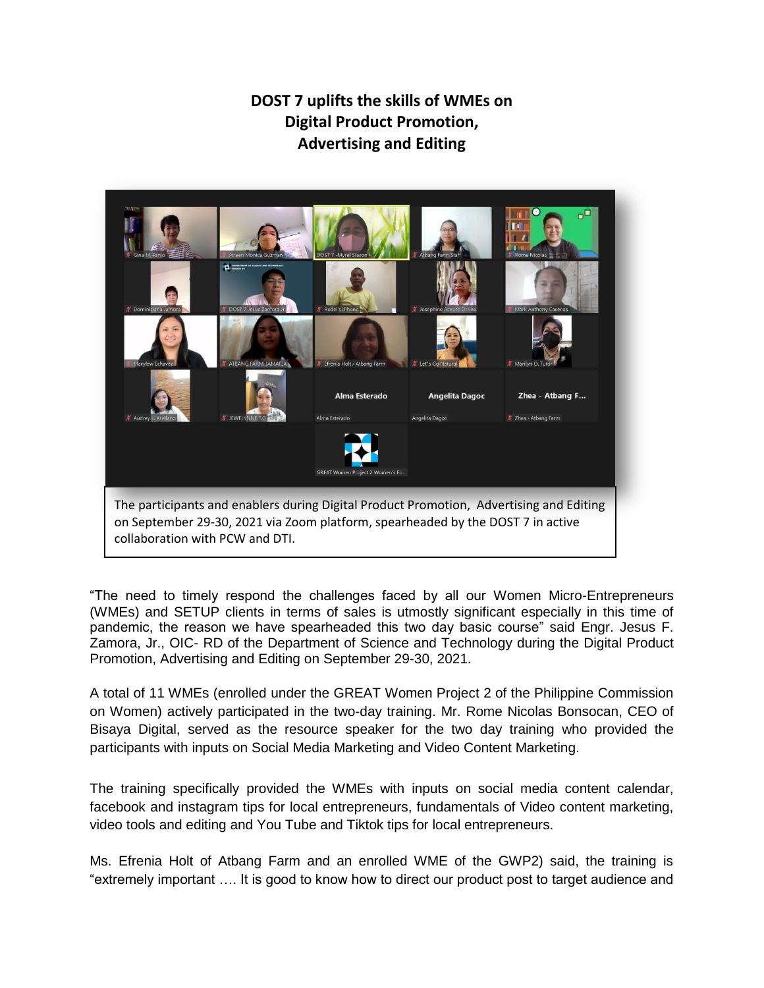## **DOST 7 uplifts the skills of WMEs on Digital Product Promotion, Advertising and Editing**



"The need to timely respond the challenges faced by all our Women Micro-Entrepreneurs (WMEs) and SETUP clients in terms of sales is utmostly significant especially in this time of pandemic, the reason we have spearheaded this two day basic course" said Engr. Jesus F. Zamora, Jr., OIC- RD of the Department of Science and Technology during the Digital Product Promotion, Advertising and Editing on September 29-30, 2021.

A total of 11 WMEs (enrolled under the GREAT Women Project 2 of the Philippine Commission on Women) actively participated in the two-day training. Mr. Rome Nicolas Bonsocan, CEO of Bisaya Digital, served as the resource speaker for the two day training who provided the participants with inputs on Social Media Marketing and Video Content Marketing.

The training specifically provided the WMEs with inputs on social media content calendar, facebook and instagram tips for local entrepreneurs, fundamentals of Video content marketing, video tools and editing and You Tube and Tiktok tips for local entrepreneurs.

Ms. Efrenia Holt of Atbang Farm and an enrolled WME of the GWP2) said, the training is "extremely important …. It is good to know how to direct our product post to target audience and